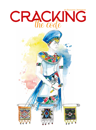## by Suzanne Jefferies CRACKING